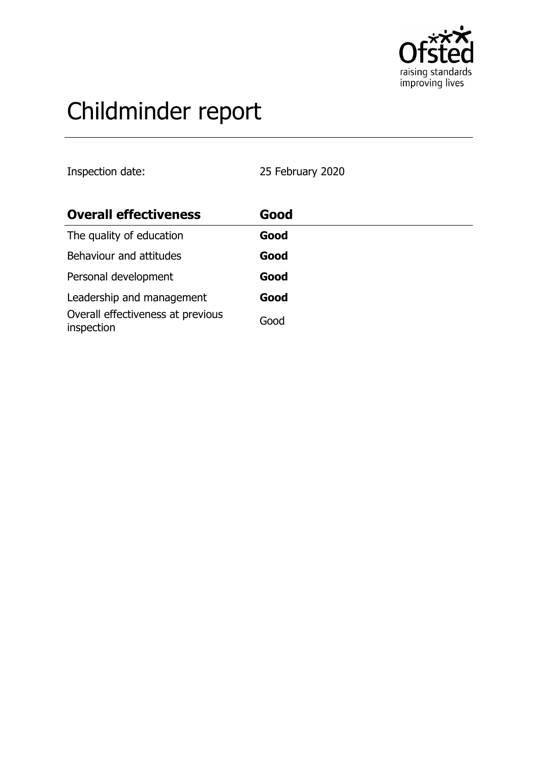

# Childminder report

Inspection date: 25 February 2020

| <b>Overall effectiveness</b>                    | Good |  |
|-------------------------------------------------|------|--|
| The quality of education                        | Good |  |
| Behaviour and attitudes                         | Good |  |
| Personal development                            | Good |  |
| Leadership and management                       | Good |  |
| Overall effectiveness at previous<br>inspection | Good |  |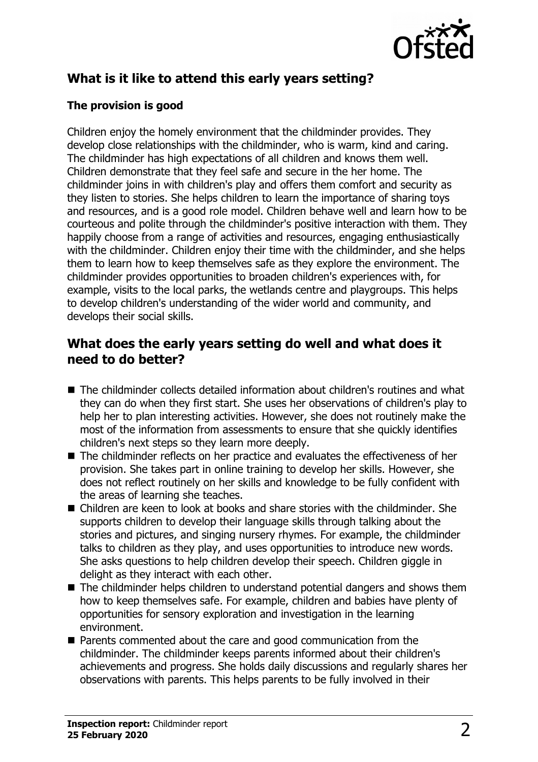

# **What is it like to attend this early years setting?**

### **The provision is good**

Children enjoy the homely environment that the childminder provides. They develop close relationships with the childminder, who is warm, kind and caring. The childminder has high expectations of all children and knows them well. Children demonstrate that they feel safe and secure in the her home. The childminder joins in with children's play and offers them comfort and security as they listen to stories. She helps children to learn the importance of sharing toys and resources, and is a good role model. Children behave well and learn how to be courteous and polite through the childminder's positive interaction with them. They happily choose from a range of activities and resources, engaging enthusiastically with the childminder. Children enjoy their time with the childminder, and she helps them to learn how to keep themselves safe as they explore the environment. The childminder provides opportunities to broaden children's experiences with, for example, visits to the local parks, the wetlands centre and playgroups. This helps to develop children's understanding of the wider world and community, and develops their social skills.

## **What does the early years setting do well and what does it need to do better?**

- $\blacksquare$  The childminder collects detailed information about children's routines and what they can do when they first start. She uses her observations of children's play to help her to plan interesting activities. However, she does not routinely make the most of the information from assessments to ensure that she quickly identifies children's next steps so they learn more deeply.
- $\blacksquare$  The childminder reflects on her practice and evaluates the effectiveness of her provision. She takes part in online training to develop her skills. However, she does not reflect routinely on her skills and knowledge to be fully confident with the areas of learning she teaches.
- Children are keen to look at books and share stories with the childminder. She supports children to develop their language skills through talking about the stories and pictures, and singing nursery rhymes. For example, the childminder talks to children as they play, and uses opportunities to introduce new words. She asks questions to help children develop their speech. Children giggle in delight as they interact with each other.
- $\blacksquare$  The childminder helps children to understand potential dangers and shows them how to keep themselves safe. For example, children and babies have plenty of opportunities for sensory exploration and investigation in the learning environment.
- $\blacksquare$  Parents commented about the care and good communication from the childminder. The childminder keeps parents informed about their children's achievements and progress. She holds daily discussions and regularly shares her observations with parents. This helps parents to be fully involved in their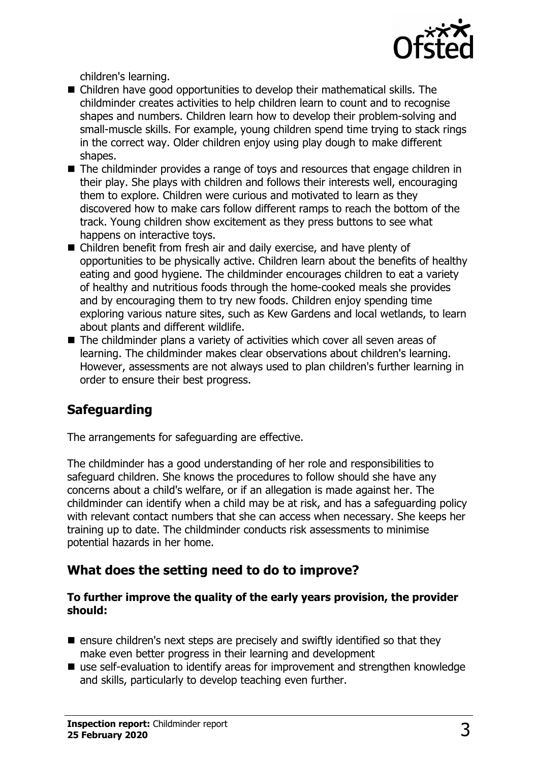

children's learning.

- Children have good opportunities to develop their mathematical skills. The childminder creates activities to help children learn to count and to recognise shapes and numbers. Children learn how to develop their problem-solving and small-muscle skills. For example, young children spend time trying to stack rings in the correct way. Older children enjoy using play dough to make different shapes.
- $\blacksquare$  The childminder provides a range of toys and resources that engage children in their play. She plays with children and follows their interests well, encouraging them to explore. Children were curious and motivated to learn as they discovered how to make cars follow different ramps to reach the bottom of the track. Young children show excitement as they press buttons to see what happens on interactive toys.
- Children benefit from fresh air and daily exercise, and have plenty of opportunities to be physically active. Children learn about the benefits of healthy eating and good hygiene. The childminder encourages children to eat a variety of healthy and nutritious foods through the home-cooked meals she provides and by encouraging them to try new foods. Children enjoy spending time exploring various nature sites, such as Kew Gardens and local wetlands, to learn about plants and different wildlife.
- $\blacksquare$  The childminder plans a variety of activities which cover all seven areas of learning. The childminder makes clear observations about children's learning. However, assessments are not always used to plan children's further learning in order to ensure their best progress.

# **Safeguarding**

The arrangements for safeguarding are effective.

The childminder has a good understanding of her role and responsibilities to safeguard children. She knows the procedures to follow should she have any concerns about a child's welfare, or if an allegation is made against her. The childminder can identify when a child may be at risk, and has a safeguarding policy with relevant contact numbers that she can access when necessary. She keeps her training up to date. The childminder conducts risk assessments to minimise potential hazards in her home.

## **What does the setting need to do to improve?**

#### **To further improve the quality of the early years provision, the provider should:**

- $\blacksquare$  ensure children's next steps are precisely and swiftly identified so that they make even better progress in their learning and development
- $\blacksquare$  use self-evaluation to identify areas for improvement and strengthen knowledge and skills, particularly to develop teaching even further.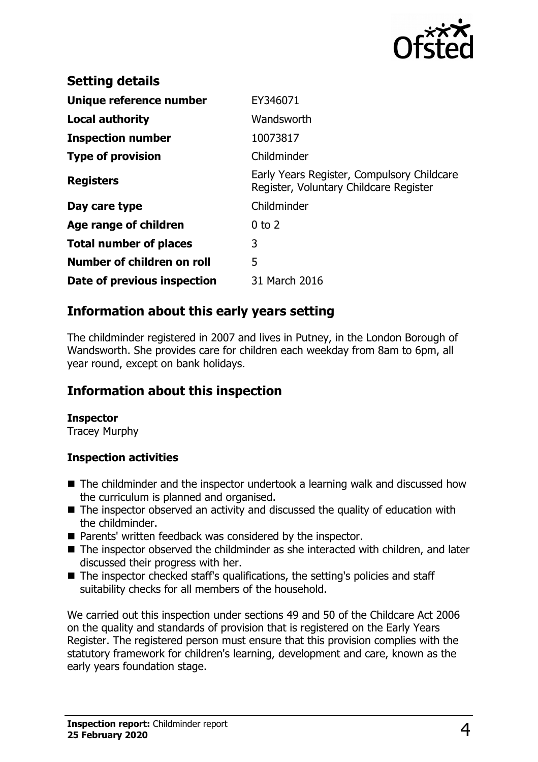

| <b>Setting details</b>        |                                                                                      |
|-------------------------------|--------------------------------------------------------------------------------------|
| Unique reference number       | EY346071                                                                             |
| Local authority               | Wandsworth                                                                           |
| <b>Inspection number</b>      | 10073817                                                                             |
| <b>Type of provision</b>      | Childminder                                                                          |
| <b>Registers</b>              | Early Years Register, Compulsory Childcare<br>Register, Voluntary Childcare Register |
| Day care type                 | Childminder                                                                          |
| Age range of children         | $0$ to $2$                                                                           |
| <b>Total number of places</b> | 3                                                                                    |
| Number of children on roll    | 5                                                                                    |
| Date of previous inspection   | 31 March 2016                                                                        |

## **Information about this early years setting**

The childminder registered in 2007 and lives in Putney, in the London Borough of Wandsworth. She provides care for children each weekday from 8am to 6pm, all year round, except on bank holidays.

## **Information about this inspection**

#### **Inspector**

Tracey Murphy

#### **Inspection activities**

- $\blacksquare$  The childminder and the inspector undertook a learning walk and discussed how the curriculum is planned and organised.
- $\blacksquare$  The inspector observed an activity and discussed the quality of education with the childminder.
- Parents' written feedback was considered by the inspector.
- The inspector observed the childminder as she interacted with children, and later discussed their progress with her.
- The inspector checked staff's qualifications, the setting's policies and staff suitability checks for all members of the household.

We carried out this inspection under sections 49 and 50 of the Childcare Act 2006 on the quality and standards of provision that is registered on the Early Years Register. The registered person must ensure that this provision complies with the statutory framework for children's learning, development and care, known as the early years foundation stage.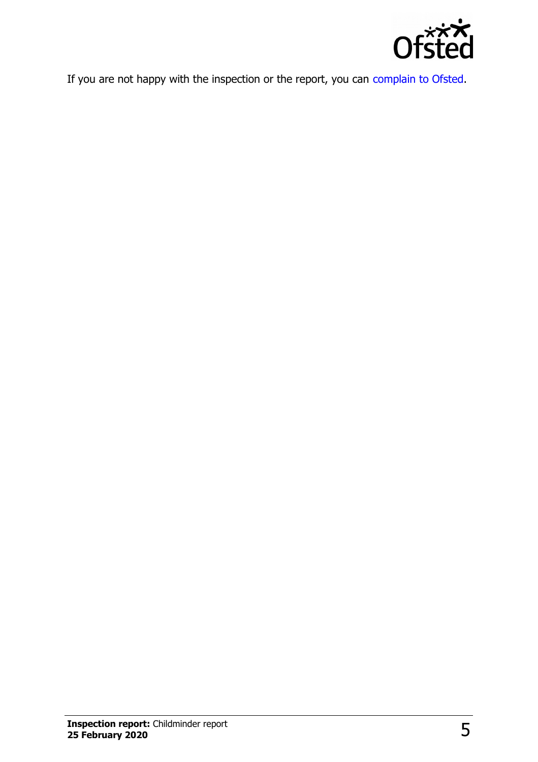

If you are not happy with the inspection or the report, you can [complain to Ofsted.](http://www.gov.uk/complain-ofsted-report)